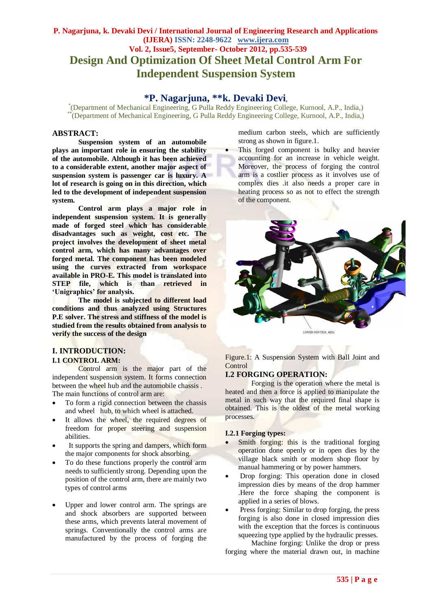# **P. Nagarjuna, k. Devaki Devi / International Journal of Engineering Research and Applications (IJERA) ISSN: 2248-9622 www.ijera.com Vol. 2, Issue5, September- October 2012, pp.535-539 Design And Optimization Of Sheet Metal Control Arm For Independent Suspension System**

# **\*P. Nagarjuna, \*\*k. Devaki Devi**,

\* (Department of Mechanical Engineering, G Pulla Reddy Engineering College, Kurnool, A.P., India,) \*\*(Department of Mechanical Engineering, G Pulla Reddy Engineering College, Kurnool, A.P., India,)

#### **ABSTRACT:**

**Suspension system of an automobile plays an important role in ensuring the stability of the automobile. Although it has been achieved to a considerable extent, another major aspect of suspension system is passenger car is luxury. A lot of research is going on in this direction, which led to the development of independent suspension system.** 

**Control arm plays a major role in independent suspension system. It is generally made of forged steel which has considerable disadvantages such as weight, cost etc. The project involves the development of sheet metal control arm, which has many advantages over forged metal. The component has been modeled using the curves extracted from workspace available in PRO-E. This model is translated into STEP file, which is than retrieved in 'Unigraphics' for analysis.**

**The model is subjected to different load conditions and thus analyzed using Structures P.E solver. The stress and stiffness of the model is studied from the results obtained from analysis to verify the success of the design**

# **I. INTRODUCTION:**

## **I.1 CONTROL ARM:**

Control arm is the major part of the independent suspension system. It forms connection between the wheel hub and the automobile chassis . The main functions of control arm are:

- To form a rigid connection between the chassis and wheel hub, to which wheel is attached.
- It allows the wheel, the required degrees of freedom for proper steering and suspension abilities.
- It supports the spring and dampers, which form the major components for shock absorbing.
- To do these functions properly the control arm needs to sufficiently strong. Depending upon the position of the control arm, there are mainly two types of control arms
- Upper and lower control arm. The springs are and shock absorbers are supported between these arms, which prevents lateral movement of springs. Conventionally the control arms are manufactured by the process of forging the

medium carbon steels, which are sufficiently strong as shown in figure.1.

 This forged component is bulky and heavier accounting for an increase in vehicle weight. Moreover, the process of forging the control arm is a costlier process as it involves use of complex dies .it also needs a proper care in heating process so as not to effect the strength of the component.



Figure.1: A Suspension System with Ball Joint and Control

## **I.2 FORGING OPERATION:**

Forging is the operation where the metal is heated and then a force is applied to manipulate the metal in such way that the required final shape is obtained. This is the oldest of the metal working processes.

#### **I.2.1 Forging types:**

- Smith forging: this is the traditional forging operation done openly or in open dies by the village black smith or modern shop floor by manual hammering or by power hammers.
- Drop forging: This operation done in closed impression dies by means of the drop hammer .Here the force shaping the component is applied in a series of blows.
- Press forging: Similar to drop forging, the press forging is also done in closed impression dies with the exception that the forces is continuous squeezing type applied by the hydraulic presses.

Machine forging: Unlike the drop or press forging where the material drawn out, in machine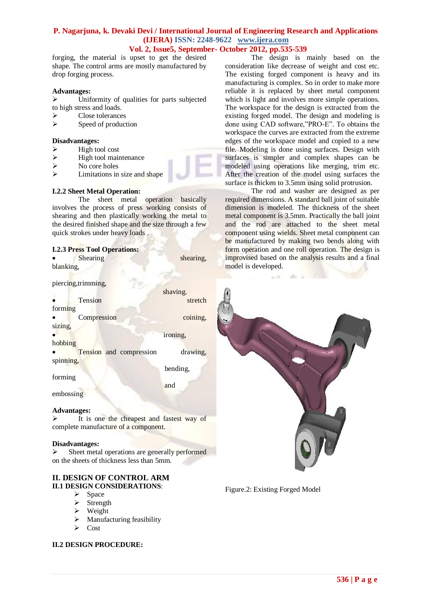## **Vol. 2, Issue5, September- October 2012, pp.535-539**

forging, the material is upset to get the desired shape. The control arms are mostly manufactured by drop forging process.

## **Advantages:**

 $\triangleright$  Uniformity of qualities for parts subjected to high stress and loads.

- Close tolerances
- $\triangleright$  Speed of production

#### **Disadvantages:**

- $\triangleright$  High tool cost
- $\triangleright$  High tool maintenance
- $\triangleright$  No core holes
- Limitations in size and shape

## **I.2.2 Sheet Metal Operation:**

The sheet metal operation basically involves the process of press working consists of shearing and then plastically working the metal to the desired finished shape and the size through a few quick strokes under heavy loads .

#### **I.2.3 Press Tool Operations:**

| <b>Shearing</b> | shearing, |
|-----------------|-----------|
| blanking,       |           |

piercing,trimming,

|           |                         | shaving. |
|-----------|-------------------------|----------|
|           | Tension                 | stretch  |
| forming   |                         |          |
|           | Compression             | coining, |
| sizing,   |                         |          |
|           |                         | ironing, |
| hobbing   |                         |          |
|           | Tension and compression | drawing, |
| spinning, |                         |          |
|           |                         | bending, |

forming

**and and** 

embossing

#### **Advantages:**

 $\triangleright$  It is one the cheapest and fastest way of complete manufacture of a component.

#### **Disadvantages:**

 $\triangleright$  Sheet metal operations are generally performed on the sheets of thickness less than 5mm.

#### **II. DESIGN OF CONTROL ARM II.1 DESIGN CONSIDERATIONS**:

- $\triangleright$  Space
- $\triangleright$  Strength
- $\triangleright$  Weight
- $\triangleright$  Manufacturing feasibility
- $\triangleright$  Cost

## **II.2 DESIGN PROCEDURE:**

The design is mainly based on the consideration like decrease of weight and cost etc. The existing forged component is heavy and its manufacturing is complex. So in order to make more reliable it is replaced by sheet metal component which is light and involves more simple operations. The workspace for the design is extracted from the existing forged model. The design and modeling is done using CAD software,"PRO-E". To obtains the workspace the curves are extracted from the extreme edges of the workspace model and copied to a new file. Modeling is done using surfaces. Design with surfaces is simpler and complex shapes can be modeled using operations like merging, trim etc. After the creation of the model using surfaces the surface is thicken to 3.5mm using solid protrusion.

The rod and washer are designed as per required dimensions. A standard ball joint of suitable dimension is modeled. The thickness of the sheet metal component is 3.5mm. Practically the ball joint and the rod are attached to the sheet metal component using wields. Sheet metal component can be manufactured by making two bends along with form operation and one roll operation. The design is improvised based on the analysis results and a final model is developed.



Figure.2: Existing Forged Model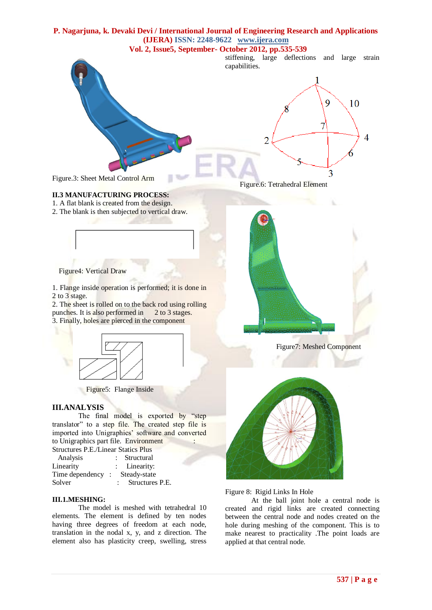#### **Vol. 2, Issue5, September- October 2012, pp.535-539**

stiffening, large deflections and large strain capabilities.



Figure.6: Tetrahedral Element

Figure.3: Sheet Metal Control Arm

## **II.3 MANUFACTURING PROCESS:**

1. A flat blank is created from the design.

2. The blank is then subjected to vertical draw.



1. Flange inside operation is performed; it is done in 2 to 3 stage.

2. The sheet is rolled on to the back rod using rolling punches. It is also performed in 2 to 3 stages. 3. Finally, holes are pierced in the component



Figure5: Flange Inside

## **III.ANALYSIS**

The final model is exported by "step translator" to a step file. The created step file is imported into Unigraphics' software and converted to Unigraphics part file. Environment

Structures P.E./Linear Statics Plus

|  | Structural       |
|--|------------------|
|  | : Linearity:     |
|  | Steady-state     |
|  | Structures P.E.  |
|  | Time dependency: |

#### **III.1.MESHING:**

The model is meshed with tetrahedral 10 elements. The element is defined by ten nodes having three degrees of freedom at each node, translation in the nodal x, y, and z direction. The element also has plasticity creep, swelling, stress



Figure7: Meshed Component



Figure 8: Rigid Links In Hole

At the ball joint hole a central node is created and rigid links are created connecting between the central node and nodes created on the hole during meshing of the component. This is to make nearest to practicality .The point loads are applied at that central node.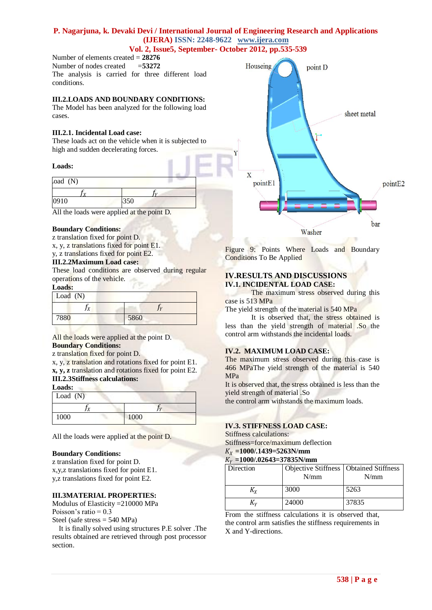#### **Vol. 2, Issue5, September- October 2012, pp.535-539**

Number of elements created = **28276** Number of nodes created =**53272** The analysis is carried for three different load conditions.

#### **III.2.LOADS AND BOUNDARY CONDITIONS:**

The Model has been analyzed for the following load cases.

#### **III.2.1. Incidental Load case:**

These loads act on the vehicle when it is subjected to high and sudden decelerating forces.

#### **Loads:**

| .oad (N) |      |  |
|----------|------|--|
|          |      |  |
| 0910     | .JJU |  |

All the loads were applied at the point D.

#### **Boundary Conditions:**

z translation fixed for point D. x, y, z translations fixed for point E1.

y, z translations fixed for point E2.

## **III.2.2Maximum Load case:**

These load conditions are observed during regular operations of the vehicle.

#### **Loads:**

| Load $(N)$ |      |
|------------|------|
| v          |      |
| 7880       | 5860 |

#### All the loads were applied at the point D. **Boundary Conditions:**

#### z translation fixed for point D.

x, y, z translation and rotations fixed for point E1. **x, y, z** translation and rotations fixed for point E2. **III.2.3Stiffness calculations:**

**Loads:**

| Lvaus.<br>Load $(N)$ |      |
|----------------------|------|
|                      |      |
| 1000                 | 1000 |

All the loads were applied at the point D.

#### **Boundary Conditions:**

z translation fixed for point D. x,y,z translations fixed for point E1. y,z translations fixed for point E2.

## **III.3MATERIAL PROPERTIES:**

Modulus of Elasticity =210000 MPa Poisson's ratio =  $0.3$ Steel (safe stress = 540 MPa)

It is finally solved using structures P.E solver .The results obtained are retrieved through post processor section.



Figure 9: Points Where Loads and Boundary Conditions To Be Applied

#### **IV.RESULTS AND DISCUSSIONS IV.1. INCIDENTAL LOAD CASE:**

The maximum stress observed during this case is 513 MPa

The yield strength of the material is 540 MPa

It is observed that, the stress obtained is less than the yield strength of material .So the control arm withstands the incidental loads.

## **IV.2. MAXIMUM LOAD CASE:**

The maximum stress observed during this case is 466 MPaThe yield strength of the material is 540 MPa

It is observed that, the stress obtained is less than the yield strength of material .So

the control arm withstands the maximum loads.

#### **IV.3. STIFFNESS LOAD CASE:**

#### Stiffness calculations:

Stiffness=force/maximum deflection

#### **=1000/.1439=5263N/mm =1000/.02643=37835N/mm**

| \v =1000/.02043=3/8331\/MM |          |  |
|----------------------------|----------|--|
| $\sum_{i=1}^{n}$           | $\Omega$ |  |

| Direction | Objective Stiffness   Obtained Stiffness<br>N/mm | N/mm  |
|-----------|--------------------------------------------------|-------|
| Ky        | 3000                                             | 5263  |
| Κv        | 24000                                            | 37835 |

From the stiffness calculations it is observed that, the control arm satisfies the stiffness requirements in X and Y-directions.